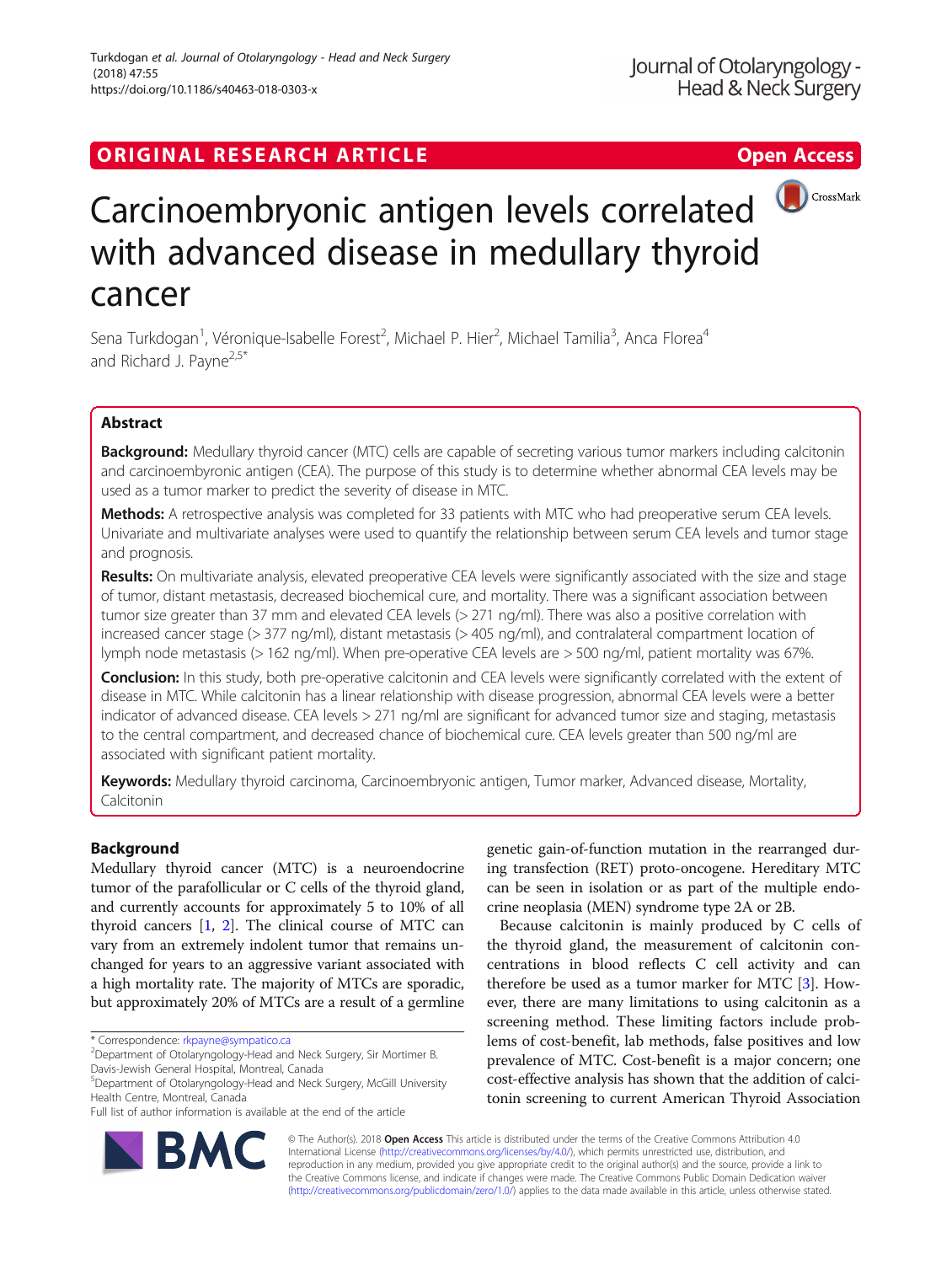# ORIGINAL RESEARCH ARTICLE **Solution Contract Contract Contract Contract Contract Contract Contract Contract Contract Contract Contract Contract Contract Contract Contract Contract Contract Contract Contract Contract Contra**



# Carcinoembryonic antigen levels correlated with advanced disease in medullary thyroid cancer

Sena Turkdogan<sup>1</sup>, Véronique-Isabelle Forest<sup>2</sup>, Michael P. Hier<sup>2</sup>, Michael Tamilia<sup>3</sup>, Anca Florea<sup>4</sup> and Richard J. Payne<sup>2,5\*</sup>

# Abstract

Background: Medullary thyroid cancer (MTC) cells are capable of secreting various tumor markers including calcitonin and carcinoembyronic antigen (CEA). The purpose of this study is to determine whether abnormal CEA levels may be used as a tumor marker to predict the severity of disease in MTC.

Methods: A retrospective analysis was completed for 33 patients with MTC who had preoperative serum CEA levels. Univariate and multivariate analyses were used to quantify the relationship between serum CEA levels and tumor stage and prognosis.

Results: On multivariate analysis, elevated preoperative CEA levels were significantly associated with the size and stage of tumor, distant metastasis, decreased biochemical cure, and mortality. There was a significant association between tumor size greater than 37 mm and elevated CEA levels (> 271 ng/ml). There was also a positive correlation with increased cancer stage (> 377 ng/ml), distant metastasis (> 405 ng/ml), and contralateral compartment location of lymph node metastasis (> 162 ng/ml). When pre-operative CEA levels are > 500 ng/ml, patient mortality was 67%.

**Conclusion:** In this study, both pre-operative calcitonin and CEA levels were significantly correlated with the extent of disease in MTC. While calcitonin has a linear relationship with disease progression, abnormal CEA levels were a better indicator of advanced disease. CEA levels > 271 ng/ml are significant for advanced tumor size and staging, metastasis to the central compartment, and decreased chance of biochemical cure. CEA levels greater than 500 ng/ml are associated with significant patient mortality.

Keywords: Medullary thyroid carcinoma, Carcinoembryonic antigen, Tumor marker, Advanced disease, Mortality, Calcitonin

# Background

Medullary thyroid cancer (MTC) is a neuroendocrine tumor of the parafollicular or C cells of the thyroid gland, and currently accounts for approximately 5 to 10% of all thyroid cancers [[1](#page-5-0), [2\]](#page-5-0). The clinical course of MTC can vary from an extremely indolent tumor that remains unchanged for years to an aggressive variant associated with a high mortality rate. The majority of MTCs are sporadic, but approximately 20% of MTCs are a result of a germline

genetic gain-of-function mutation in the rearranged during transfection (RET) proto-oncogene. Hereditary MTC can be seen in isolation or as part of the multiple endocrine neoplasia (MEN) syndrome type 2A or 2B.

Because calcitonin is mainly produced by C cells of the thyroid gland, the measurement of calcitonin concentrations in blood reflects C cell activity and can therefore be used as a tumor marker for MTC [\[3](#page-5-0)]. However, there are many limitations to using calcitonin as a screening method. These limiting factors include problems of cost-benefit, lab methods, false positives and low prevalence of MTC. Cost-benefit is a major concern; one cost-effective analysis has shown that the addition of calcitonin screening to current American Thyroid Association



© The Author(s). 2018 Open Access This article is distributed under the terms of the Creative Commons Attribution 4.0 International License [\(http://creativecommons.org/licenses/by/4.0/](http://creativecommons.org/licenses/by/4.0/)), which permits unrestricted use, distribution, and reproduction in any medium, provided you give appropriate credit to the original author(s) and the source, provide a link to the Creative Commons license, and indicate if changes were made. The Creative Commons Public Domain Dedication waiver [\(http://creativecommons.org/publicdomain/zero/1.0/](http://creativecommons.org/publicdomain/zero/1.0/)) applies to the data made available in this article, unless otherwise stated.

<sup>\*</sup> Correspondence: [rkpayne@sympatico.ca](mailto:rkpayne@sympatico.ca) <sup>2</sup>

<sup>&</sup>lt;sup>2</sup> Department of Otolaryngology-Head and Neck Surgery, Sir Mortimer B. Davis-Jewish General Hospital, Montreal, Canada

<sup>5</sup> Department of Otolaryngology-Head and Neck Surgery, McGill University Health Centre, Montreal, Canada

Full list of author information is available at the end of the article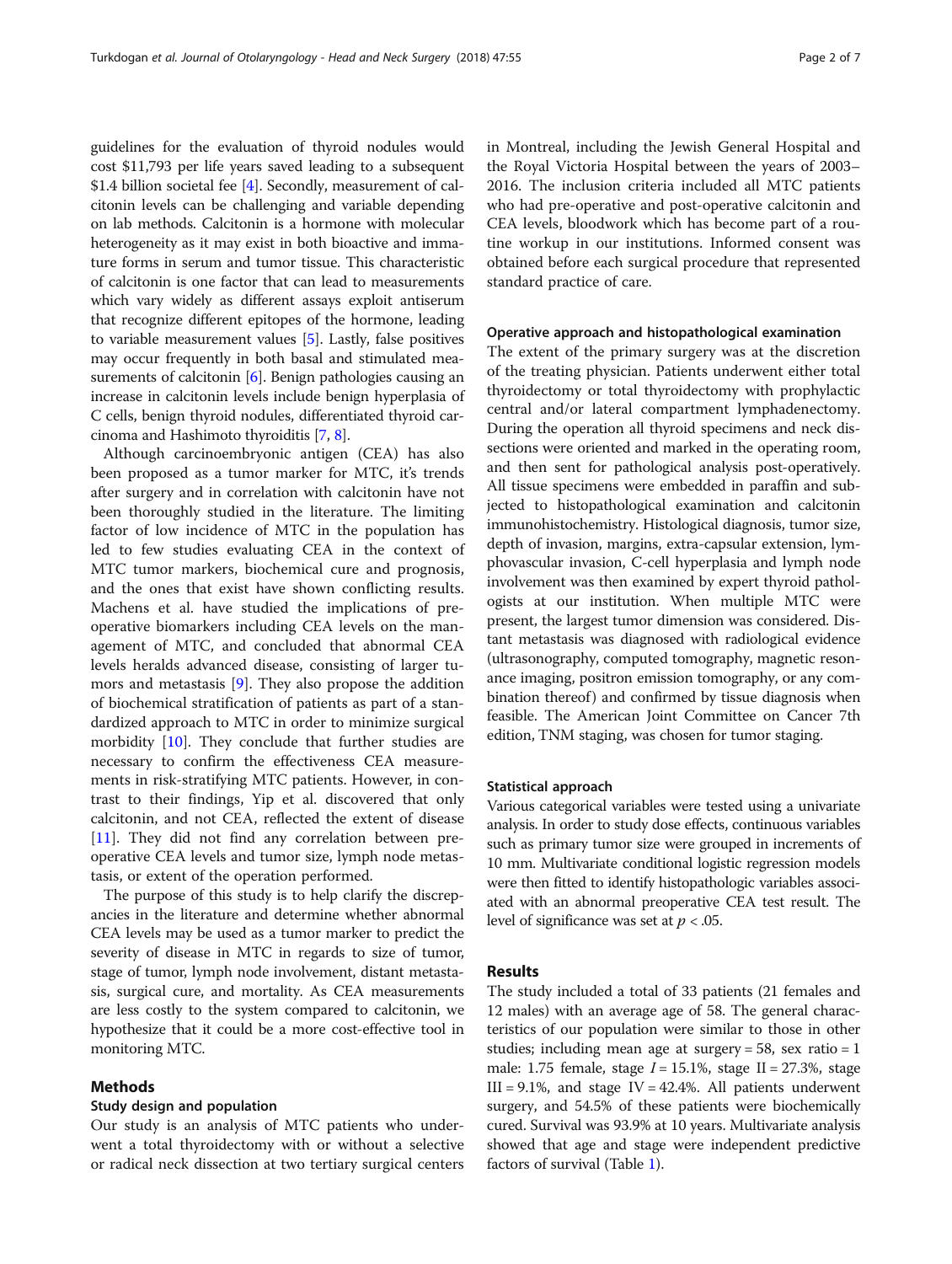guidelines for the evaluation of thyroid nodules would cost \$11,793 per life years saved leading to a subsequent \$1.4 billion societal fee [\[4\]](#page-5-0). Secondly, measurement of calcitonin levels can be challenging and variable depending on lab methods. Calcitonin is a hormone with molecular heterogeneity as it may exist in both bioactive and immature forms in serum and tumor tissue. This characteristic of calcitonin is one factor that can lead to measurements which vary widely as different assays exploit antiserum that recognize different epitopes of the hormone, leading to variable measurement values [\[5\]](#page-5-0). Lastly, false positives may occur frequently in both basal and stimulated mea-surements of calcitonin [[6](#page-5-0)]. Benign pathologies causing an increase in calcitonin levels include benign hyperplasia of C cells, benign thyroid nodules, differentiated thyroid carcinoma and Hashimoto thyroiditis [[7](#page-5-0), [8](#page-5-0)].

Although carcinoembryonic antigen (CEA) has also been proposed as a tumor marker for MTC, it's trends after surgery and in correlation with calcitonin have not been thoroughly studied in the literature. The limiting factor of low incidence of MTC in the population has led to few studies evaluating CEA in the context of MTC tumor markers, biochemical cure and prognosis, and the ones that exist have shown conflicting results. Machens et al. have studied the implications of preoperative biomarkers including CEA levels on the management of MTC, and concluded that abnormal CEA levels heralds advanced disease, consisting of larger tumors and metastasis [[9\]](#page-5-0). They also propose the addition of biochemical stratification of patients as part of a standardized approach to MTC in order to minimize surgical morbidity [[10](#page-5-0)]. They conclude that further studies are necessary to confirm the effectiveness CEA measurements in risk-stratifying MTC patients. However, in contrast to their findings, Yip et al. discovered that only calcitonin, and not CEA, reflected the extent of disease [[11\]](#page-5-0). They did not find any correlation between preoperative CEA levels and tumor size, lymph node metastasis, or extent of the operation performed.

The purpose of this study is to help clarify the discrepancies in the literature and determine whether abnormal CEA levels may be used as a tumor marker to predict the severity of disease in MTC in regards to size of tumor, stage of tumor, lymph node involvement, distant metastasis, surgical cure, and mortality. As CEA measurements are less costly to the system compared to calcitonin, we hypothesize that it could be a more cost-effective tool in monitoring MTC.

# Methods

## Study design and population

Our study is an analysis of MTC patients who underwent a total thyroidectomy with or without a selective or radical neck dissection at two tertiary surgical centers in Montreal, including the Jewish General Hospital and the Royal Victoria Hospital between the years of 2003– 2016. The inclusion criteria included all MTC patients who had pre-operative and post-operative calcitonin and CEA levels, bloodwork which has become part of a routine workup in our institutions. Informed consent was obtained before each surgical procedure that represented standard practice of care.

#### Operative approach and histopathological examination

The extent of the primary surgery was at the discretion of the treating physician. Patients underwent either total thyroidectomy or total thyroidectomy with prophylactic central and/or lateral compartment lymphadenectomy. During the operation all thyroid specimens and neck dissections were oriented and marked in the operating room, and then sent for pathological analysis post-operatively. All tissue specimens were embedded in paraffin and subjected to histopathological examination and calcitonin immunohistochemistry. Histological diagnosis, tumor size, depth of invasion, margins, extra-capsular extension, lymphovascular invasion, C-cell hyperplasia and lymph node involvement was then examined by expert thyroid pathologists at our institution. When multiple MTC were present, the largest tumor dimension was considered. Distant metastasis was diagnosed with radiological evidence (ultrasonography, computed tomography, magnetic resonance imaging, positron emission tomography, or any combination thereof) and confirmed by tissue diagnosis when feasible. The American Joint Committee on Cancer 7th edition, TNM staging, was chosen for tumor staging.

#### Statistical approach

Various categorical variables were tested using a univariate analysis. In order to study dose effects, continuous variables such as primary tumor size were grouped in increments of 10 mm. Multivariate conditional logistic regression models were then fitted to identify histopathologic variables associated with an abnormal preoperative CEA test result. The level of significance was set at  $p < .05$ .

#### Results

The study included a total of 33 patients (21 females and 12 males) with an average age of 58. The general characteristics of our population were similar to those in other studies; including mean age at surgery  $= 58$ , sex ratio  $= 1$ male: 1.75 female, stage  $I = 15.1\%$ , stage II = 27.3%, stage III = 9.1%, and stage IV = 42.4%. All patients underwent surgery, and 54.5% of these patients were biochemically cured. Survival was 93.9% at 10 years. Multivariate analysis showed that age and stage were independent predictive factors of survival (Table [1](#page-2-0)).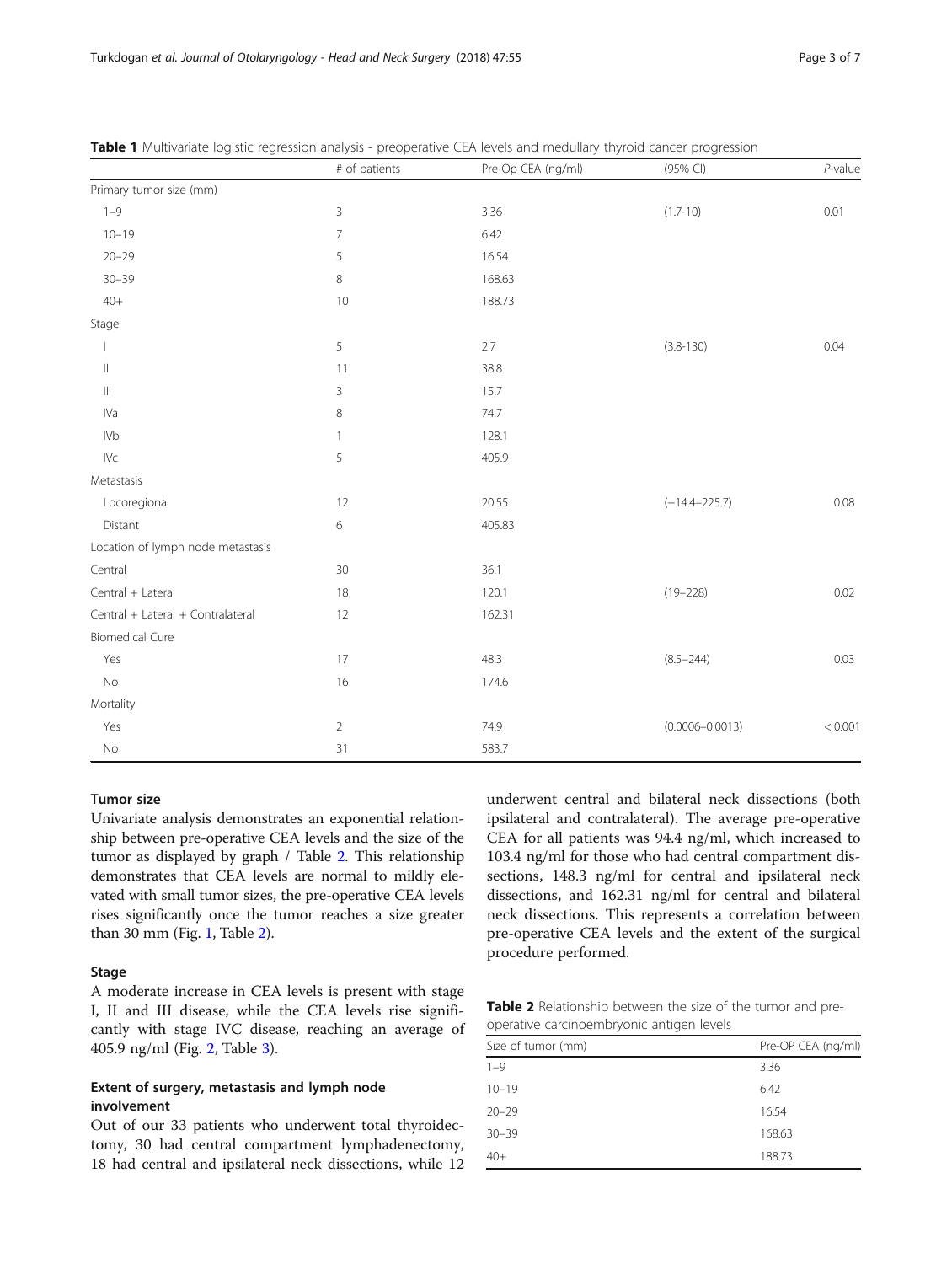|                                   | # of patients  | Pre-Op CEA (ng/ml) | (95% CI)            | $P$ -value |
|-----------------------------------|----------------|--------------------|---------------------|------------|
| Primary tumor size (mm)           |                |                    |                     |            |
| $1 - 9$                           | 3              | 3.36               | $(1.7 - 10)$        | 0.01       |
| $10 - 19$                         | $\overline{7}$ | 6.42               |                     |            |
| $20 - 29$                         | 5              | 16.54              |                     |            |
| $30 - 39$                         | $\,8\,$        | 168.63             |                     |            |
| $40+$                             | 10             | 188.73             |                     |            |
| Stage                             |                |                    |                     |            |
|                                   | 5              | 2.7                | $(3.8 - 130)$       | 0.04       |
| $\vert\vert$                      | 11             | 38.8               |                     |            |
| $\mathop{\rm III}$                | 3              | 15.7               |                     |            |
| IVa                               | $\,8\,$        | 74.7               |                     |            |
| <b>IVb</b>                        | $\mathbf{1}$   | 128.1              |                     |            |
| ${\sf IVc}$                       | 5              | 405.9              |                     |            |
| Metastasis                        |                |                    |                     |            |
| Locoregional                      | 12             | 20.55              | $(-14.4 - 225.7)$   | 0.08       |
| Distant                           | 6              | 405.83             |                     |            |
| Location of lymph node metastasis |                |                    |                     |            |
| Central                           | $30\,$         | 36.1               |                     |            |
| Central + Lateral                 | 18             | 120.1              | $(19 - 228)$        | 0.02       |
| Central + Lateral + Contralateral | 12             | 162.31             |                     |            |
| <b>Biomedical Cure</b>            |                |                    |                     |            |
| Yes                               | 17             | 48.3               | $(8.5 - 244)$       | 0.03       |
| $\rm No$                          | 16             | 174.6              |                     |            |
| Mortality                         |                |                    |                     |            |
| Yes                               | $\sqrt{2}$     | 74.9               | $(0.0006 - 0.0013)$ | < 0.001    |
| $\rm No$                          | 31             | 583.7              |                     |            |

<span id="page-2-0"></span>Table 1 Multivariate logistic regression analysis - preoperative CEA levels and medullary thyroid cancer progression

#### Tumor size

Univariate analysis demonstrates an exponential relationship between pre-operative CEA levels and the size of the tumor as displayed by graph / Table 2. This relationship demonstrates that CEA levels are normal to mildly elevated with small tumor sizes, the pre-operative CEA levels rises significantly once the tumor reaches a size greater than 30 mm (Fig. [1](#page-3-0), Table 2).

# Stage

A moderate increase in CEA levels is present with stage I, II and III disease, while the CEA levels rise significantly with stage IVC disease, reaching an average of 405.9 ng/ml (Fig. [2](#page-3-0), Table [3\)](#page-3-0).

# Extent of surgery, metastasis and lymph node involvement

Out of our 33 patients who underwent total thyroidectomy, 30 had central compartment lymphadenectomy, 18 had central and ipsilateral neck dissections, while 12 underwent central and bilateral neck dissections (both ipsilateral and contralateral). The average pre-operative CEA for all patients was 94.4 ng/ml, which increased to 103.4 ng/ml for those who had central compartment dissections, 148.3 ng/ml for central and ipsilateral neck dissections, and 162.31 ng/ml for central and bilateral neck dissections. This represents a correlation between pre-operative CEA levels and the extent of the surgical procedure performed.

| <b>Table 2</b> Relationship between the size of the tumor and pre- |  |  |  |
|--------------------------------------------------------------------|--|--|--|
| operative carcinoembryonic antigen levels                          |  |  |  |

| Size of tumor (mm) | Pre-OP CEA (ng/ml) |
|--------------------|--------------------|
| $1 - 9$            | 3.36               |
| $10 - 19$          | 6.42               |
| $20 - 29$          | 16.54              |
| $30 - 39$          | 168.63             |
| $40+$              | 188.73             |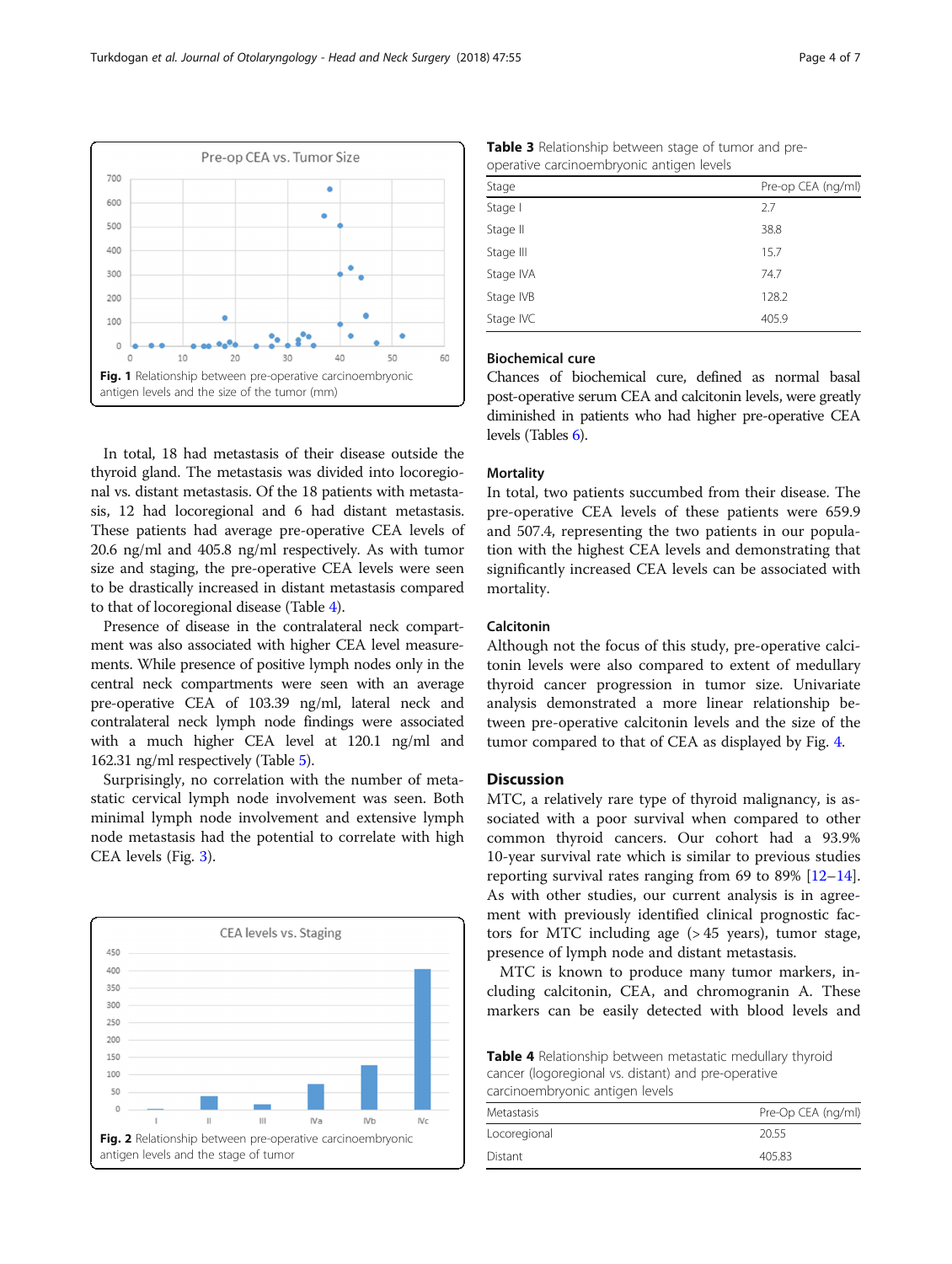In total, 18 had metastasis of their disease outside the thyroid gland. The metastasis was divided into locoregional vs. distant metastasis. Of the 18 patients with metastasis, 12 had locoregional and 6 had distant metastasis. These patients had average pre-operative CEA levels of 20.6 ng/ml and 405.8 ng/ml respectively. As with tumor size and staging, the pre-operative CEA levels were seen to be drastically increased in distant metastasis compared to that of locoregional disease (Table 4).

Fig. 1 Relationship between pre-operative carcinoembryonic

30

40

50

60

antigen levels and the size of the tumor (mm)

20

 $10$ 

Presence of disease in the contralateral neck compartment was also associated with higher CEA level measurements. While presence of positive lymph nodes only in the central neck compartments were seen with an average pre-operative CEA of 103.39 ng/ml, lateral neck and contralateral neck lymph node findings were associated with a much higher CEA level at 120.1 ng/ml and 162.31 ng/ml respectively (Table [5\)](#page-4-0).

Surprisingly, no correlation with the number of metastatic cervical lymph node involvement was seen. Both minimal lymph node involvement and extensive lymph node metastasis had the potential to correlate with high CEA levels (Fig. [3\)](#page-4-0).



| <b>Table 3</b> Relationship between stage of tumor and pre- |  |
|-------------------------------------------------------------|--|
| operative carcinoembryonic antigen levels                   |  |

| Stage     | Pre-op CEA (ng/ml) |
|-----------|--------------------|
| Stage I   | 2.7                |
| Stage II  | 38.8               |
| Stage III | 15.7               |
| Stage IVA | 74.7               |
| Stage IVB | 128.2              |
| Stage IVC | 405.9              |
|           |                    |

# Biochemical cure

Chances of biochemical cure, defined as normal basal post-operative serum CEA and calcitonin levels, were greatly diminished in patients who had higher pre-operative CEA levels (Tables [6\)](#page-4-0).

## **Mortality**

In total, two patients succumbed from their disease. The pre-operative CEA levels of these patients were 659.9 and 507.4, representing the two patients in our population with the highest CEA levels and demonstrating that significantly increased CEA levels can be associated with mortality.

# Calcitonin

Although not the focus of this study, pre-operative calcitonin levels were also compared to extent of medullary thyroid cancer progression in tumor size. Univariate analysis demonstrated a more linear relationship between pre-operative calcitonin levels and the size of the tumor compared to that of CEA as displayed by Fig. [4.](#page-4-0)

# Discussion

MTC, a relatively rare type of thyroid malignancy, is associated with a poor survival when compared to other common thyroid cancers. Our cohort had a 93.9% 10-year survival rate which is similar to previous studies reporting survival rates ranging from 69 to 89%  $[12-14]$  $[12-14]$  $[12-14]$  $[12-14]$  $[12-14]$ . As with other studies, our current analysis is in agreement with previously identified clinical prognostic factors for MTC including age  $(>45$  years), tumor stage, presence of lymph node and distant metastasis.

MTC is known to produce many tumor markers, including calcitonin, CEA, and chromogranin A. These markers can be easily detected with blood levels and

Table 4 Relationship between metastatic medullary thyroid cancer (logoregional vs. distant) and pre-operative carcinoembryonic antigen levels

| carempetition you're arragent revers |                    |  |
|--------------------------------------|--------------------|--|
| Metastasis                           | Pre-Op CEA (ng/ml) |  |
| Locoregional                         | 20.55              |  |
| Distant                              | 405.83             |  |
|                                      |                    |  |

<span id="page-3-0"></span>Pre-op CEA vs. Tumor Size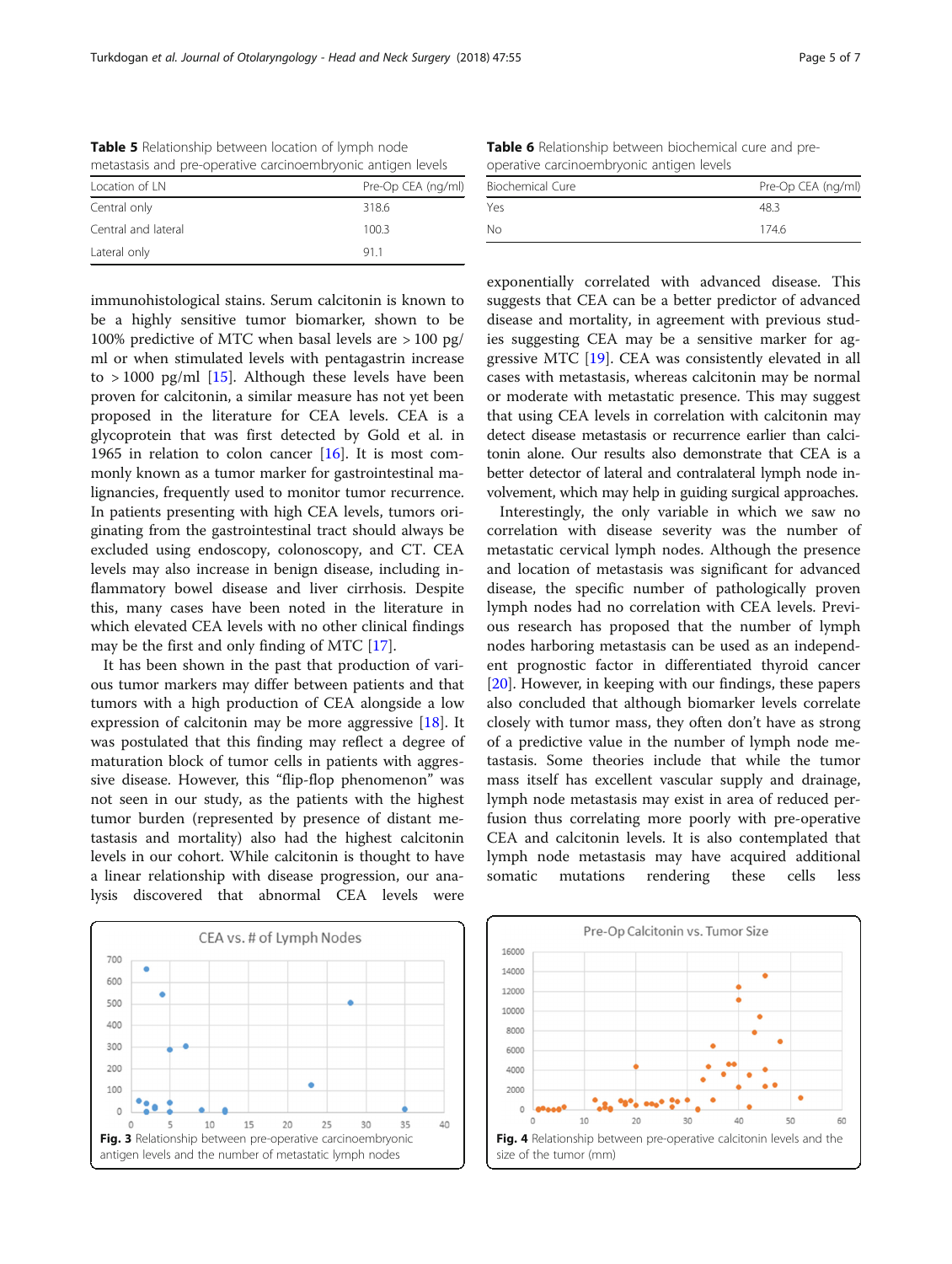<span id="page-4-0"></span>

| <b>Table 5</b> Relationship between location of lymph node   |  |
|--------------------------------------------------------------|--|
| metastasis and pre-operative carcinoembryonic antigen levels |  |

| metastasis and pic operative caremocritoryonic antigen revers |                    |  |
|---------------------------------------------------------------|--------------------|--|
| Location of LN                                                | Pre-Op CEA (ng/ml) |  |
| Central only                                                  | 318.6              |  |
| Central and lateral                                           | 100.3              |  |
| Lateral only                                                  | 911                |  |

immunohistological stains. Serum calcitonin is known to be a highly sensitive tumor biomarker, shown to be 100% predictive of MTC when basal levels are > 100 pg/ ml or when stimulated levels with pentagastrin increase to  $> 1000$  pg/ml [[15\]](#page-6-0). Although these levels have been proven for calcitonin, a similar measure has not yet been proposed in the literature for CEA levels. CEA is a glycoprotein that was first detected by Gold et al. in 1965 in relation to colon cancer  $[16]$ . It is most commonly known as a tumor marker for gastrointestinal malignancies, frequently used to monitor tumor recurrence. In patients presenting with high CEA levels, tumors originating from the gastrointestinal tract should always be excluded using endoscopy, colonoscopy, and CT. CEA levels may also increase in benign disease, including inflammatory bowel disease and liver cirrhosis. Despite this, many cases have been noted in the literature in which elevated CEA levels with no other clinical findings may be the first and only finding of MTC [\[17\]](#page-6-0).

It has been shown in the past that production of various tumor markers may differ between patients and that tumors with a high production of CEA alongside a low expression of calcitonin may be more aggressive [\[18](#page-6-0)]. It was postulated that this finding may reflect a degree of maturation block of tumor cells in patients with aggressive disease. However, this "flip-flop phenomenon" was not seen in our study, as the patients with the highest tumor burden (represented by presence of distant metastasis and mortality) also had the highest calcitonin levels in our cohort. While calcitonin is thought to have a linear relationship with disease progression, our analysis discovered that abnormal CEA levels were



Table 6 Relationship between biochemical cure and preoperative carcinoembryonic antigen levels

| Yes<br>48.3 | Biochemical Cure | Pre-Op CEA (ng/ml) |
|-------------|------------------|--------------------|
|             |                  |                    |
|             | Nο               | 174.6              |

exponentially correlated with advanced disease. This suggests that CEA can be a better predictor of advanced disease and mortality, in agreement with previous studies suggesting CEA may be a sensitive marker for aggressive MTC [[19\]](#page-6-0). CEA was consistently elevated in all cases with metastasis, whereas calcitonin may be normal or moderate with metastatic presence. This may suggest that using CEA levels in correlation with calcitonin may detect disease metastasis or recurrence earlier than calcitonin alone. Our results also demonstrate that CEA is a better detector of lateral and contralateral lymph node involvement, which may help in guiding surgical approaches.

Interestingly, the only variable in which we saw no correlation with disease severity was the number of metastatic cervical lymph nodes. Although the presence and location of metastasis was significant for advanced disease, the specific number of pathologically proven lymph nodes had no correlation with CEA levels. Previous research has proposed that the number of lymph nodes harboring metastasis can be used as an independent prognostic factor in differentiated thyroid cancer [[20\]](#page-6-0). However, in keeping with our findings, these papers also concluded that although biomarker levels correlate closely with tumor mass, they often don't have as strong of a predictive value in the number of lymph node metastasis. Some theories include that while the tumor mass itself has excellent vascular supply and drainage, lymph node metastasis may exist in area of reduced perfusion thus correlating more poorly with pre-operative CEA and calcitonin levels. It is also contemplated that lymph node metastasis may have acquired additional somatic mutations rendering these cells less

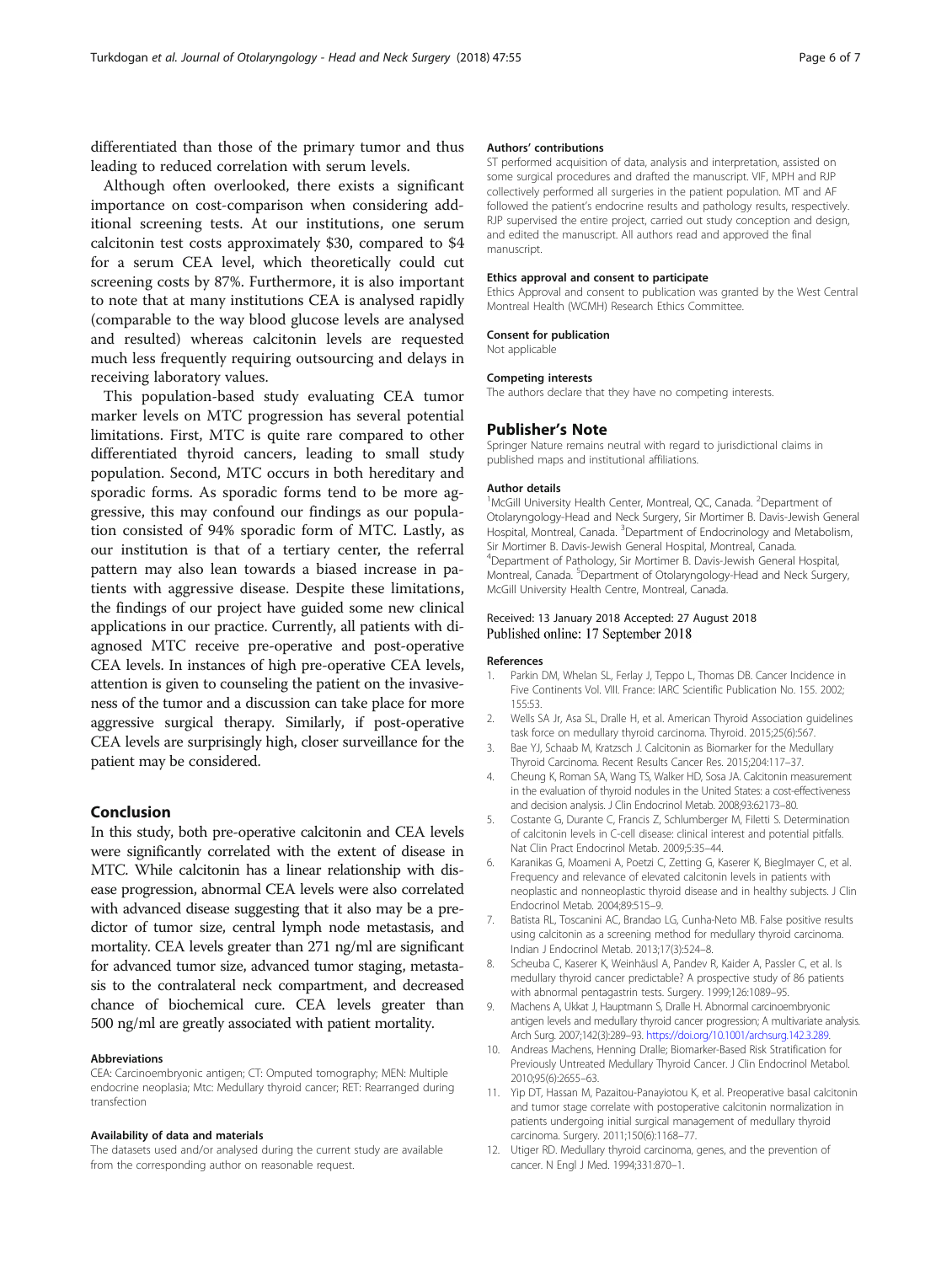<span id="page-5-0"></span>differentiated than those of the primary tumor and thus leading to reduced correlation with serum levels.

Although often overlooked, there exists a significant importance on cost-comparison when considering additional screening tests. At our institutions, one serum calcitonin test costs approximately \$30, compared to \$4 for a serum CEA level, which theoretically could cut screening costs by 87%. Furthermore, it is also important to note that at many institutions CEA is analysed rapidly (comparable to the way blood glucose levels are analysed and resulted) whereas calcitonin levels are requested much less frequently requiring outsourcing and delays in receiving laboratory values.

This population-based study evaluating CEA tumor marker levels on MTC progression has several potential limitations. First, MTC is quite rare compared to other differentiated thyroid cancers, leading to small study population. Second, MTC occurs in both hereditary and sporadic forms. As sporadic forms tend to be more aggressive, this may confound our findings as our population consisted of 94% sporadic form of MTC. Lastly, as our institution is that of a tertiary center, the referral pattern may also lean towards a biased increase in patients with aggressive disease. Despite these limitations, the findings of our project have guided some new clinical applications in our practice. Currently, all patients with diagnosed MTC receive pre-operative and post-operative CEA levels. In instances of high pre-operative CEA levels, attention is given to counseling the patient on the invasiveness of the tumor and a discussion can take place for more aggressive surgical therapy. Similarly, if post-operative CEA levels are surprisingly high, closer surveillance for the patient may be considered.

## Conclusion

In this study, both pre-operative calcitonin and CEA levels were significantly correlated with the extent of disease in MTC. While calcitonin has a linear relationship with disease progression, abnormal CEA levels were also correlated with advanced disease suggesting that it also may be a predictor of tumor size, central lymph node metastasis, and mortality. CEA levels greater than 271 ng/ml are significant for advanced tumor size, advanced tumor staging, metastasis to the contralateral neck compartment, and decreased chance of biochemical cure. CEA levels greater than 500 ng/ml are greatly associated with patient mortality.

#### Abbreviations

CEA: Carcinoembryonic antigen; CT: Omputed tomography; MEN: Multiple endocrine neoplasia; Mtc: Medullary thyroid cancer; RET: Rearranged during transfection

#### Availability of data and materials

The datasets used and/or analysed during the current study are available from the corresponding author on reasonable request.

#### Authors' contributions

ST performed acquisition of data, analysis and interpretation, assisted on some surgical procedures and drafted the manuscript. VIF, MPH and RJP collectively performed all surgeries in the patient population. MT and AF followed the patient's endocrine results and pathology results, respectively. RJP supervised the entire project, carried out study conception and design, and edited the manuscript. All authors read and approved the final manuscript.

#### Ethics approval and consent to participate

Ethics Approval and consent to publication was granted by the West Central Montreal Health (WCMH) Research Ethics Committee.

#### Consent for publication

Not applicable

#### Competing interests

The authors declare that they have no competing interests.

# Publisher's Note

Springer Nature remains neutral with regard to jurisdictional claims in published maps and institutional affiliations.

#### Author details

<sup>1</sup>McGill University Health Center, Montreal, QC, Canada. <sup>2</sup>Department of Otolaryngology-Head and Neck Surgery, Sir Mortimer B. Davis-Jewish General Hospital, Montreal, Canada. <sup>3</sup>Department of Endocrinology and Metabolism, Sir Mortimer B. Davis-Jewish General Hospital, Montreal, Canada. 4 Department of Pathology, Sir Mortimer B. Davis-Jewish General Hospital, Montreal, Canada. <sup>5</sup>Department of Otolaryngology-Head and Neck Surgery, McGill University Health Centre, Montreal, Canada.

#### Received: 13 January 2018 Accepted: 27 August 2018 Published online: 17 September 2018

#### References

- 1. Parkin DM, Whelan SL, Ferlay J, Teppo L, Thomas DB. Cancer Incidence in Five Continents Vol. VIII. France: IARC Scientific Publication No. 155. 2002; 155:53.
- 2. Wells SA Jr, Asa SL, Dralle H, et al. American Thyroid Association guidelines task force on medullary thyroid carcinoma. Thyroid. 2015;25(6):567.
- 3. Bae YJ, Schaab M, Kratzsch J. Calcitonin as Biomarker for the Medullary Thyroid Carcinoma. Recent Results Cancer Res. 2015;204:117–37.
- 4. Cheung K, Roman SA, Wang TS, Walker HD, Sosa JA. Calcitonin measurement in the evaluation of thyroid nodules in the United States: a cost-effectiveness and decision analysis. J Clin Endocrinol Metab. 2008;93:62173–80.
- 5. Costante G, Durante C, Francis Z, Schlumberger M, Filetti S. Determination of calcitonin levels in C-cell disease: clinical interest and potential pitfalls. Nat Clin Pract Endocrinol Metab. 2009;5:35–44.
- 6. Karanikas G, Moameni A, Poetzi C, Zetting G, Kaserer K, Bieglmayer C, et al. Frequency and relevance of elevated calcitonin levels in patients with neoplastic and nonneoplastic thyroid disease and in healthy subjects. J Clin Endocrinol Metab. 2004;89:515–9.
- 7. Batista RL, Toscanini AC, Brandao LG, Cunha-Neto MB. False positive results using calcitonin as a screening method for medullary thyroid carcinoma. Indian J Endocrinol Metab. 2013;17(3):524–8.
- 8. Scheuba C, Kaserer K, Weinhäusl A, Pandev R, Kaider A, Passler C, et al. Is medullary thyroid cancer predictable? A prospective study of 86 patients with abnormal pentagastrin tests. Surgery. 1999;126:1089–95.
- 9. Machens A, Ukkat J, Hauptmann S, Dralle H. Abnormal carcinoembryonic antigen levels and medullary thyroid cancer progression; A multivariate analysis. Arch Surg. 2007;142(3):289–93. [https://doi.org/10.1001/archsurg.142.3.289.](https://doi.org/10.1001/archsurg.142.3.289)
- 10. Andreas Machens, Henning Dralle; Biomarker-Based Risk Stratification for Previously Untreated Medullary Thyroid Cancer. J Clin Endocrinol Metabol. 2010;95(6):2655–63.
- 11. Yip DT, Hassan M, Pazaitou-Panayiotou K, et al. Preoperative basal calcitonin and tumor stage correlate with postoperative calcitonin normalization in patients undergoing initial surgical management of medullary thyroid carcinoma. Surgery. 2011;150(6):1168–77.
- 12. Utiger RD. Medullary thyroid carcinoma, genes, and the prevention of cancer. N Engl J Med. 1994;331:870–1.